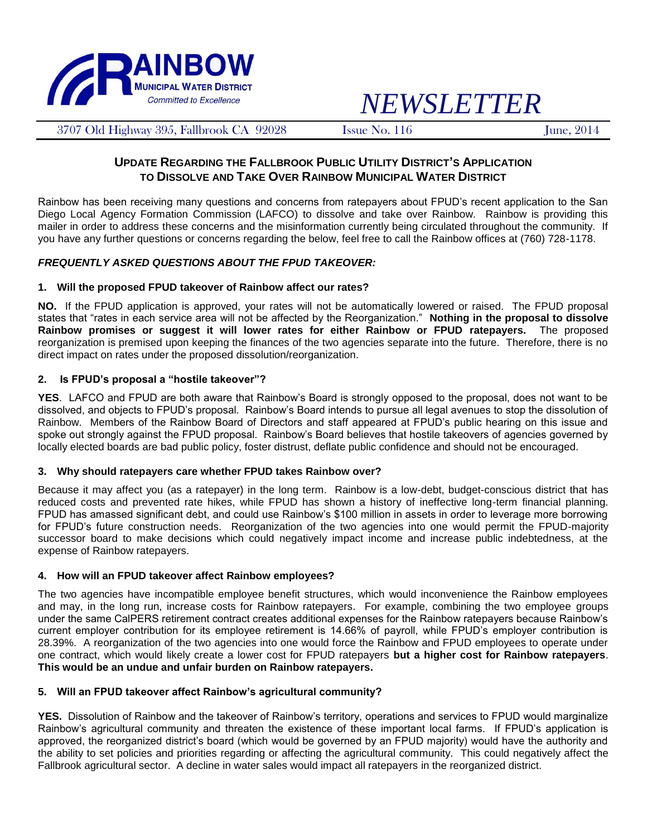

# *NEWSLETTER*

3707 Old Highway 395, Fallbrook CA 92028 Issue No. 116 June, 2014

## **UPDATE REGARDING THE FALLBROOK PUBLIC UTILITY DISTRICT'S APPLICATION TO DISSOLVE AND TAKE OVER RAINBOW MUNICIPAL WATER DISTRICT**

Rainbow has been receiving many questions and concerns from ratepayers about FPUD's recent application to the San Diego Local Agency Formation Commission (LAFCO) to dissolve and take over Rainbow. Rainbow is providing this mailer in order to address these concerns and the misinformation currently being circulated throughout the community. If you have any further questions or concerns regarding the below, feel free to call the Rainbow offices at (760) 728-1178.

## *FREQUENTLY ASKED QUESTIONS ABOUT THE FPUD TAKEOVER:*

#### **1. Will the proposed FPUD takeover of Rainbow affect our rates?**

**NO.** If the FPUD application is approved, your rates will not be automatically lowered or raised. The FPUD proposal states that "rates in each service area will not be affected by the Reorganization." **Nothing in the proposal to dissolve Rainbow promises or suggest it will lower rates for either Rainbow or FPUD ratepayers.** The proposed reorganization is premised upon keeping the finances of the two agencies separate into the future. Therefore, there is no direct impact on rates under the proposed dissolution/reorganization.

### **2. Is FPUD's proposal a "hostile takeover"?**

**YES**. LAFCO and FPUD are both aware that Rainbow's Board is strongly opposed to the proposal, does not want to be dissolved, and objects to FPUD's proposal. Rainbow's Board intends to pursue all legal avenues to stop the dissolution of Rainbow. Members of the Rainbow Board of Directors and staff appeared at FPUD's public hearing on this issue and spoke out strongly against the FPUD proposal. Rainbow's Board believes that hostile takeovers of agencies governed by locally elected boards are bad public policy, foster distrust, deflate public confidence and should not be encouraged.

#### **3. Why should ratepayers care whether FPUD takes Rainbow over?**

Because it may affect you (as a ratepayer) in the long term. Rainbow is a low-debt, budget-conscious district that has reduced costs and prevented rate hikes, while FPUD has shown a history of ineffective long-term financial planning. FPUD has amassed significant debt, and could use Rainbow's \$100 million in assets in order to leverage more borrowing for FPUD's future construction needs. Reorganization of the two agencies into one would permit the FPUD-majority successor board to make decisions which could negatively impact income and increase public indebtedness, at the expense of Rainbow ratepayers.

#### **4. How will an FPUD takeover affect Rainbow employees?**

The two agencies have incompatible employee benefit structures, which would inconvenience the Rainbow employees and may, in the long run, increase costs for Rainbow ratepayers. For example, combining the two employee groups under the same CalPERS retirement contract creates additional expenses for the Rainbow ratepayers because Rainbow's current employer contribution for its employee retirement is 14.66% of payroll, while FPUD's employer contribution is 28.39%. A reorganization of the two agencies into one would force the Rainbow and FPUD employees to operate under one contract, which would likely create a lower cost for FPUD ratepayers **but a higher cost for Rainbow ratepayers**. **This would be an undue and unfair burden on Rainbow ratepayers.** 

## **5. Will an FPUD takeover affect Rainbow's agricultural community?**

**YES.** Dissolution of Rainbow and the takeover of Rainbow's territory, operations and services to FPUD would marginalize Rainbow's agricultural community and threaten the existence of these important local farms. If FPUD's application is approved, the reorganized district's board (which would be governed by an FPUD majority) would have the authority and the ability to set policies and priorities regarding or affecting the agricultural community. This could negatively affect the Fallbrook agricultural sector. A decline in water sales would impact all ratepayers in the reorganized district.